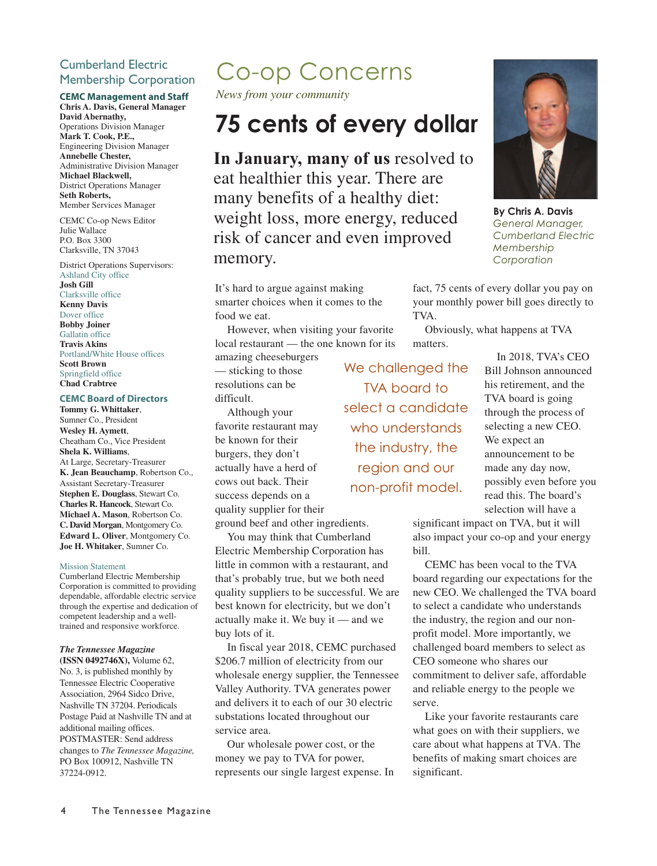#### Cumberland Electric Membership Corporation

#### **CEMC Management and Staff**

**Chris A. Davis, General Manager David Abernathy,** Operations Division Manager **Mark T. Cook, P.E.,** Engineering Division Manager **Annebelle Chester,** Administrative Division Manager **Michael Blackwell,** District Operations Manager **Seth Roberts,** Member Services Manager

CEMC Co-op News Editor Julie Wallace P.O. Box 3300 Clarksville, TN 37043

District Operations Supervisors: Ashland City office **Josh Gill**

Clarksville office **Kenny Davis** Dover office **Bobby Joiner** Gallatin office **Travis Akins** Portland/White House offices **Scott Brown** Springfield office **Chad Crabtree**

#### **CEMC Board of Directors**

**Tommy G. Whittaker**, Sumner Co., President **Wesley H. Aymett**, Cheatham Co., Vice President **Shela K. Williams**, At Large, Secretary-Treasurer **K. Jean Beauchamp**, Robertson Co., Assistant Secretary-Treasurer **Stephen E. Douglass**, Stewart Co. **Charles R. Hancock**, Stewart Co. **Michael A. Mason**, Robertson Co. **C. David Morgan**, Montgomery Co. **Edward L. Oliver**, Montgomery Co. **Joe H. Whitaker**, Sumner Co.

#### Mission Statement

Cumberland Electric Membership Corporation is committed to providing dependable, affordable electric service through the expertise and dedication of competent leadership and a welltrained and responsive workforce.

#### *The Tennessee Magazine*

**(ISSN 0492746X),** Volume 62, No. 3, is published monthly by Tennessee Electric Cooperative Association, 2964 Sidco Drive, Nashville TN 37204. Periodicals Postage Paid at Nashville TN and at additional mailing offices. POSTMASTER: Send address changes to *The Tennessee Magazine,* PO Box 100912, Nashville TN 37224-0912.

### Co-op Concerns

*News from your community*

### **75 cents of every dollar**

**In January, many of us** resolved to eat healthier this year. There are many benefits of a healthy diet: weight loss, more energy, reduced risk of cancer and even improved memory.

It's hard to argue against making smarter choices when it comes to the food we eat.

However, when visiting your favorite local restaurant — the one known for its

amazing cheeseburgers — sticking to those resolutions can be difficult.

Although your favorite restaurant may be known for their burgers, they don't actually have a herd of cows out back. Their success depends on a quality supplier for their

ground beef and other ingredients.

You may think that Cumberland Electric Membership Corporation has little in common with a restaurant, and that's probably true, but we both need quality suppliers to be successful. We are best known for electricity, but we don't actually make it. We buy it — and we buy lots of it.

In fiscal year 2018, CEMC purchased \$206.7 million of electricity from our wholesale energy supplier, the Tennessee Valley Authority. TVA generates power and delivers it to each of our 30 electric substations located throughout our service area.

Our wholesale power cost, or the money we pay to TVA for power, represents our single largest expense. In

We challenged the TVA board to select a candidate who understands the industry, the region and our non-profit model.

**By Chris A. Davis**

*General Manager, Cumberland Electric Membership Corporation*

fact, 75 cents of every dollar you pay on your monthly power bill goes directly to TVA.

Obviously, what happens at TVA matters.

> In 2018, TVA's CEO Bill Johnson announced his retirement, and the TVA board is going through the process of selecting a new CEO. We expect an announcement to be made any day now, possibly even before you read this. The board's selection will have a

significant impact on TVA, but it will also impact your co-op and your energy bill.

CEMC has been vocal to the TVA board regarding our expectations for the new CEO. We challenged the TVA board to select a candidate who understands the industry, the region and our nonprofit model. More importantly, we challenged board members to select as CEO someone who shares our commitment to deliver safe, affordable and reliable energy to the people we serve.

Like your favorite restaurants care what goes on with their suppliers, we care about what happens at TVA. The benefits of making smart choices are significant.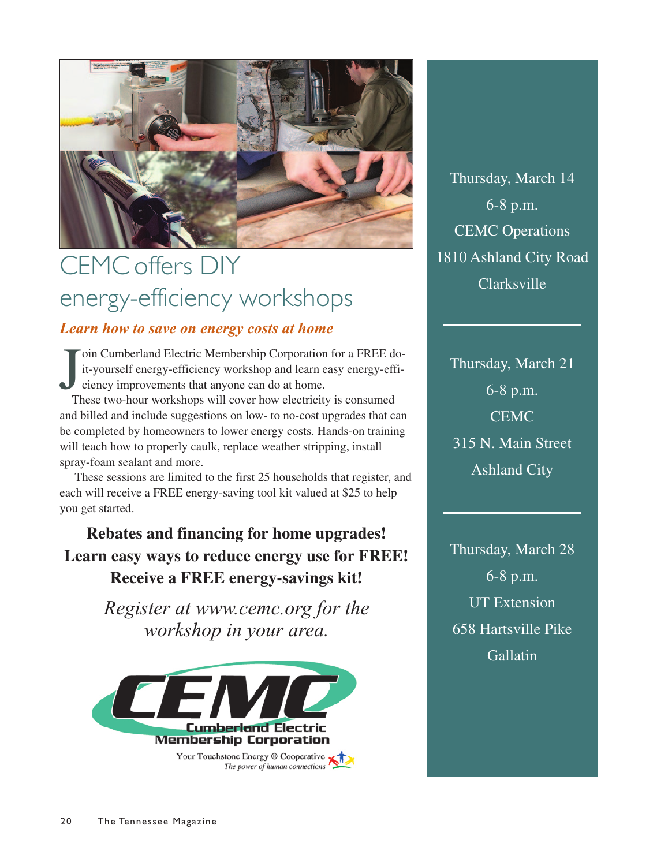

## CEMC offers DIY energy-efficiency workshops

### *Learn how to save on energy costs at home*

J oin Cumberland Electric Membership Corporation for a FREE doit-yourself energy-efficiency workshop and learn easy energy-efficiency improvements that anyone can do at home.

These two-hour workshops will cover how electricity is consumed and billed and include suggestions on low- to no-cost upgrades that can be completed by homeowners to lower energy costs. Hands-on training will teach how to properly caulk, replace weather stripping, install spray-foam sealant and more.

 These sessions are limited to the first 25 households that register, and each will receive a FREE energy-saving tool kit valued at \$25 to help you get started.

**Rebates and financing for home upgrades! Learn easy ways to reduce energy use for FREE! Receive a FREE energy-savings kit!**

> *Register at www.cemc.org for the workshop in your area.*



Thursday, March 14 6-8 p.m. CEMC Operations 1810 Ashland City Road Clarksville

Thursday, March 21 6-8 p.m. **CEMC** 315 N. Main Street Ashland City

Thursday, March 28 6-8 p.m. UT Extension 658 Hartsville Pike **Gallatin**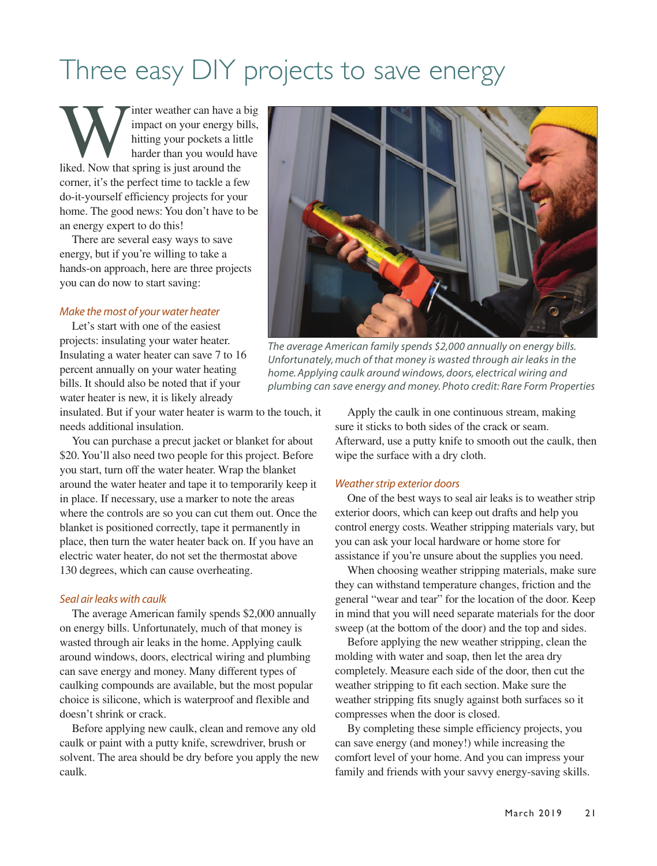## Three easy DIY projects to save energy

Inter weather can have a big impact on your energy bills, hitting your pockets a little harder than you would have liked. Now that spring is just around the impact on your energy bills, hitting your pockets a little harder than you would have corner, it's the perfect time to tackle a few do-it-yourself efficiency projects for your home. The good news: You don't have to be an energy expert to do this!

There are several easy ways to save energy, but if you're willing to take a hands-on approach, here are three projects you can do now to start saving:

#### *Make the most of your water heater*

Let's start with one of the easiest projects: insulating your water heater. Insulating a water heater can save 7 to 16 percent annually on your water heating bills. It should also be noted that if your water heater is new, it is likely already

insulated. But if your water heater is warm to the touch, it needs additional insulation.

You can purchase a precut jacket or blanket for about \$20. You'll also need two people for this project. Before you start, turn off the water heater. Wrap the blanket around the water heater and tape it to temporarily keep it in place. If necessary, use a marker to note the areas where the controls are so you can cut them out. Once the blanket is positioned correctly, tape it permanently in place, then turn the water heater back on. If you have an electric water heater, do not set the thermostat above 130 degrees, which can cause overheating.

#### *Seal air leaks with caulk*

The average American family spends \$2,000 annually on energy bills. Unfortunately, much of that money is wasted through air leaks in the home. Applying caulk around windows, doors, electrical wiring and plumbing can save energy and money. Many different types of caulking compounds are available, but the most popular choice is silicone, which is waterproof and flexible and doesn't shrink or crack.

Before applying new caulk, clean and remove any old caulk or paint with a putty knife, screwdriver, brush or solvent. The area should be dry before you apply the new caulk.



*The average American family spends \$2,000 annually on energy bills. Unfortunately, much of that money is wasted through air leaks in the home. Applying caulk around windows, doors, electrical wiring and plumbing can save energy and money. Photo credit: Rare Form Properties*

Apply the caulk in one continuous stream, making sure it sticks to both sides of the crack or seam. Afterward, use a putty knife to smooth out the caulk, then wipe the surface with a dry cloth.

#### *Weather strip exterior doors*

One of the best ways to seal air leaks is to weather strip exterior doors, which can keep out drafts and help you control energy costs. Weather stripping materials vary, but you can ask your local hardware or home store for assistance if you're unsure about the supplies you need.

When choosing weather stripping materials, make sure they can withstand temperature changes, friction and the general "wear and tear" for the location of the door. Keep in mind that you will need separate materials for the door sweep (at the bottom of the door) and the top and sides.

Before applying the new weather stripping, clean the molding with water and soap, then let the area dry completely. Measure each side of the door, then cut the weather stripping to fit each section. Make sure the weather stripping fits snugly against both surfaces so it compresses when the door is closed.

By completing these simple efficiency projects, you can save energy (and money!) while increasing the comfort level of your home. And you can impress your family and friends with your savvy energy-saving skills.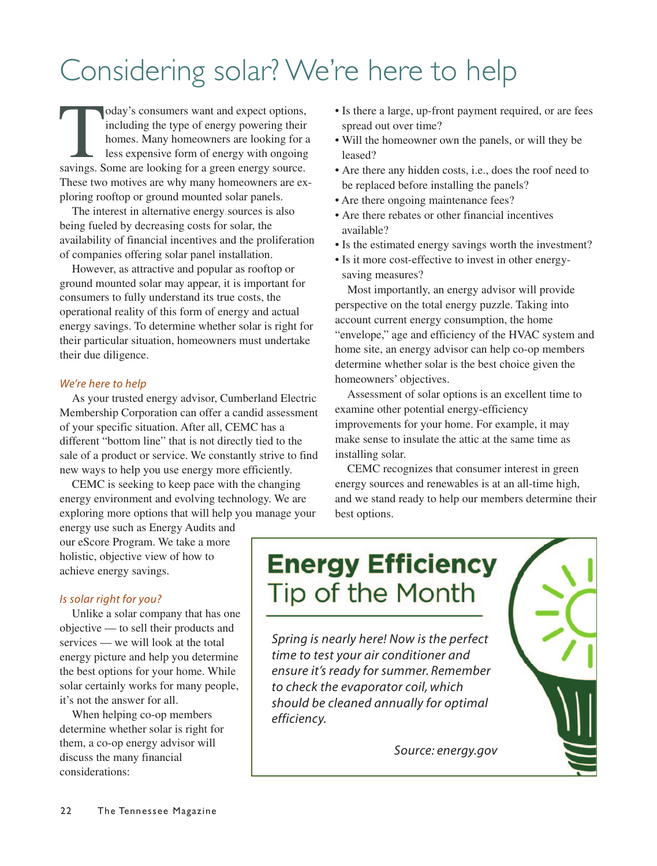# Considering solar? We're here to help

oday's consumers want and expect options,<br>including the type of energy powering their<br>homes. Many homeowners are looking for<br>less expensive form of energy with ongoing<br>savings. Some are looking for a green energy source. including the type of energy powering their homes. Many homeowners are looking for a less expensive form of energy with ongoing These two motives are why many homeowners are exploring rooftop or ground mounted solar panels.

The interest in alternative energy sources is also being fueled by decreasing costs for solar, the availability of financial incentives and the proliferation of companies offering solar panel installation.

However, as attractive and popular as rooftop or ground mounted solar may appear, it is important for consumers to fully understand its true costs, the operational reality of this form of energy and actual energy savings. To determine whether solar is right for their particular situation, homeowners must undertake their due diligence.

#### *We're here to help*

As your trusted energy advisor, Cumberland Electric Membership Corporation can offer a candid assessment of your specific situation. After all, CEMC has a different "bottom line" that is not directly tied to the sale of a product or service. We constantly strive to find new ways to help you use energy more efficiently.

CEMC is seeking to keep pace with the changing energy environment and evolving technology. We are exploring more options that will help you manage your

energy use such as Energy Audits and our eScore Program. We take a more holistic, objective view of how to achieve energy savings.

#### *Is solar right for you?*

Unlike a solar company that has one objective — to sell their products and services — we will look at the total energy picture and help you determine the best options for your home. While solar certainly works for many people, it's not the answer for all.

When helping co-op members determine whether solar is right for them, a co-op energy advisor will discuss the many financial considerations:

- Is there a large, up-front payment required, or are fees spread out over time?
- Will the homeowner own the panels, or will they be leased?
- Are there any hidden costs, i.e., does the roof need to be replaced before installing the panels?
- Are there ongoing maintenance fees?
- Are there rebates or other financial incentives available?
- Is the estimated energy savings worth the investment?
- Is it more cost-effective to invest in other energysaving measures?

Most importantly, an energy advisor will provide perspective on the total energy puzzle. Taking into account current energy consumption, the home "envelope," age and efficiency of the HVAC system and home site, an energy advisor can help co-op members determine whether solar is the best choice given the homeowners' objectives.

Assessment of solar options is an excellent time to examine other potential energy-efficiency improvements for your home. For example, it may make sense to insulate the attic at the same time as installing solar.

CEMC recognizes that consumer interest in green energy sources and renewables is at an all-time high, and we stand ready to help our members determine their best options.

### **Energy Efficiency** Tip of the Month

*Spring is nearly here! Now is the perfect time to test your air conditioner and ensure it's ready for summer. Remember to check the evaporator coil, which should be cleaned annually for optimal efficiency.* 

*Source: energy.gov*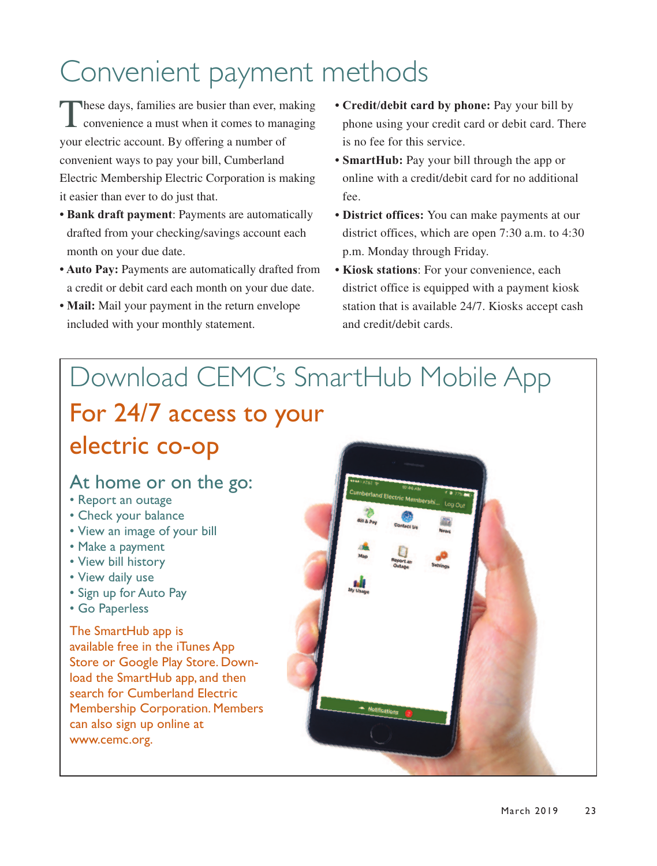## Convenient payment methods

These days, families are busier than ever, making convenience a must when it comes to managing your electric account. By offering a number of convenient ways to pay your bill, Cumberland Electric Membership Electric Corporation is making it easier than ever to do just that.

- **Bank draft payment**: Payments are automatically drafted from your checking/savings account each month on your due date.
- **Auto Pay:** Payments are automatically drafted from a credit or debit card each month on your due date.
- **Mail:** Mail your payment in the return envelope included with your monthly statement.
- **Credit/debit card by phone:** Pay your bill by phone using your credit card or debit card. There is no fee for this service.
- **SmartHub:** Pay your bill through the app or online with a credit/debit card for no additional fee.
- **District offices:** You can make payments at our district offices, which are open 7:30 a.m. to 4:30 p.m. Monday through Friday.
- **Kiosk stations**: For your convenience, each district office is equipped with a payment kiosk station that is available 24/7. Kiosks accept cash and credit/debit cards.

## Download CEMC's SmartHub Mobile App

### For 24/7 access to your electric co-op

### At home or on the go:

- Report an outage
- Check your balance
- View an image of your bill
- Make a payment
- View bill history
- View daily use
- Sign up for Auto Pay
- Go Paperless

The SmartHub app is available free in the iTunes App Store or Google Play Store. Download the SmartHub app, and then search for Cumberland Electric Membership Corporation. Members can also sign up online at www.cemc.org.

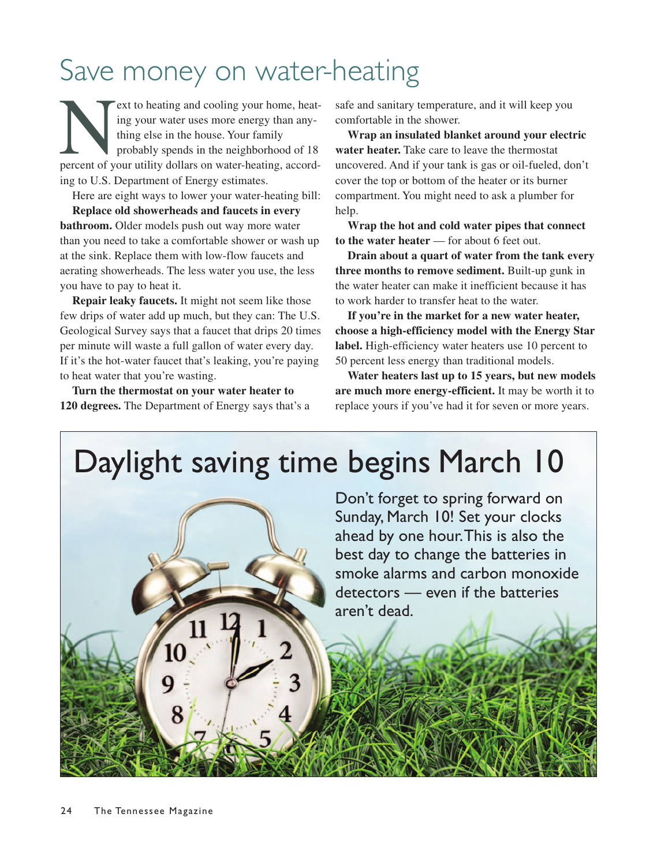## Save money on water-heating

ext to heating and cooling your home, heating your water uses more energy than any-<br>thing else in the house. Your family<br>probably spends in the neighborhood of 18<br>percent of your utility dollars on water-heating, according your water uses more energy than anything else in the house. Your family probably spends in the neighborhood of 18 ing to U.S. Department of Energy estimates.

Here are eight ways to lower your water-heating bill: **Replace old showerheads and faucets in every bathroom.** Older models push out way more water than you need to take a comfortable shower or wash up at the sink. Replace them with low-flow faucets and aerating showerheads. The less water you use, the less you have to pay to heat it.

**Repair leaky faucets.** It might not seem like those few drips of water add up much, but they can: The U.S. Geological Survey says that a faucet that drips 20 times per minute will waste a full gallon of water every day. If it's the hot-water faucet that's leaking, you're paying to heat water that you're wasting.

**Turn the thermostat on your water heater to 120 degrees.** The Department of Energy says that's a safe and sanitary temperature, and it will keep you comfortable in the shower.

**Wrap an insulated blanket around your electric water heater.** Take care to leave the thermostat uncovered. And if your tank is gas or oil-fueled, don't cover the top or bottom of the heater or its burner compartment. You might need to ask a plumber for help.

**Wrap the hot and cold water pipes that connect to the water heater** — for about 6 feet out.

**Drain about a quart of water from the tank every three months to remove sediment.** Built-up gunk in the water heater can make it inefficient because it has to work harder to transfer heat to the water.

**If you're in the market for a new water heater, choose a high-efficiency model with the Energy Star label.** High-efficiency water heaters use 10 percent to 50 percent less energy than traditional models.

**Water heaters last up to 15 years, but new models are much more energy-efficient.** It may be worth it to replace yours if you've had it for seven or more years.

## Daylight saving time begins March 10

Don't forget to spring forward on Sunday, March 10! Set your clocks ahead by one hour. This is also the best day to change the batteries in smoke alarms and carbon monoxide detectors — even if the batteries aren't dead.

8